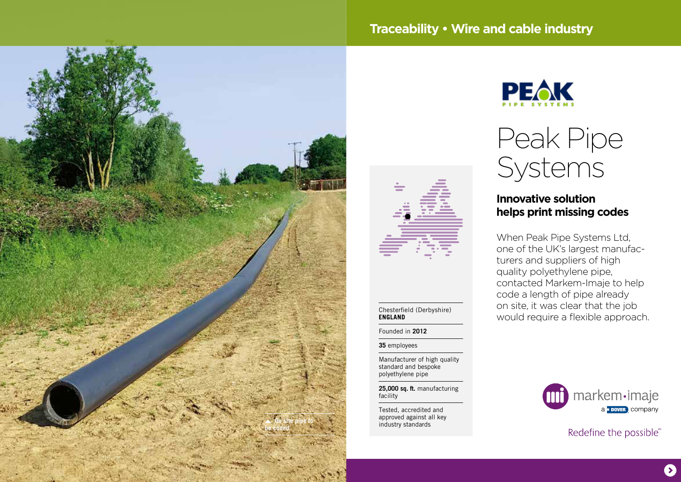# **Traceability • Wire and cable industry**





#### Chesterfield (Derbyshire) **ENGLAND**

Founded in **2012**

**35** employees

Manufacturer of high quality standard and bespoke polyethylene pipe

**25,000 sq. ft.** manufacturing facility

Tested, accredited and approved against all key  $industrv$  standards



# Peak Pipe Systems

## **Innovative solution helps print missing codes**

When Peak Pipe Systems Ltd, one of the UK's largest manufacturers and suppliers of high quality polyethylene pipe, contacted Markem-Imaje to help code a length of pipe already on site, it was clear that the job would require a flexible approach.



Redefine the possible®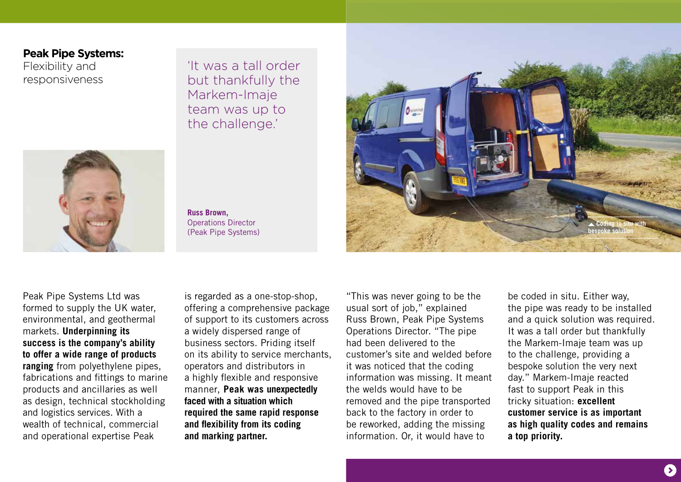### **Peak Pipe Systems:**

Flexibility and responsiveness 'It was a tall order but thankfully the Markem-Imaje team was up to the challenge.'



**Russ Brown,**  Operations Director (Peak Pipe Systems)



Peak Pipe Systems Ltd was formed to supply the UK water, environmental, and geothermal markets. **Underpinning its success is the company's ability to offer a wide range of products ranging** from polyethylene pipes, fabrications and fittings to marine products and ancillaries as well as design, technical stockholding and logistics services. With a wealth of technical, commercial and operational expertise Peak

is regarded as a one-stop-shop, offering a comprehensive package of support to its customers across a widely dispersed range of business sectors. Priding itself on its ability to service merchants, operators and distributors in a highly flexible and responsive manner, **Peak was unexpectedly faced with a situation which required the same rapid response and flexibility from its coding and marking partner.**

"This was never going to be the usual sort of job," explained Russ Brown, Peak Pipe Systems Operations Director. "The pipe had been delivered to the customer's site and welded before it was noticed that the coding information was missing. It meant the welds would have to be removed and the pipe transported back to the factory in order to be reworked, adding the missing information. Or, it would have to

be coded in situ. Either way, the pipe was ready to be installed and a quick solution was required. It was a tall order but thankfully the Markem-Imaje team was up to the challenge, providing a bespoke solution the very next day." Markem-Imaje reacted fast to support Peak in this tricky situation: **excellent customer service is as important as high quality codes and remains a top priority.**